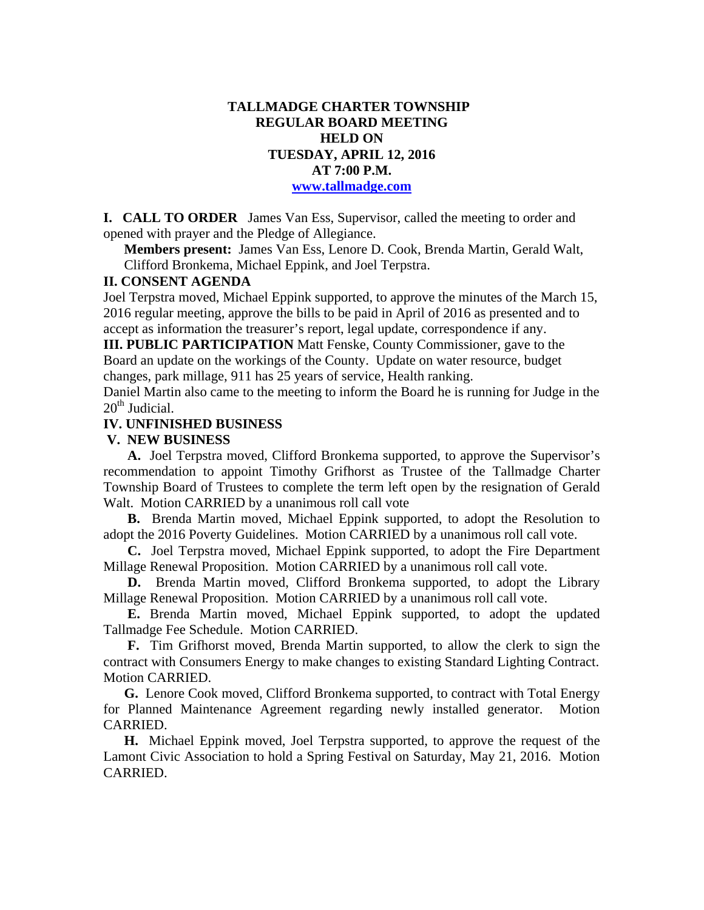# **TALLMADGE CHARTER TOWNSHIP REGULAR BOARD MEETING HELD ON TUESDAY, APRIL 12, 2016 AT 7:00 P.M. www.tallmadge.com**

**I. CALL TO ORDER** James Van Ess, Supervisor, called the meeting to order and opened with prayer and the Pledge of Allegiance.

**Members present:** James Van Ess, Lenore D. Cook, Brenda Martin, Gerald Walt, Clifford Bronkema, Michael Eppink, and Joel Terpstra.

#### **II. CONSENT AGENDA**

Joel Terpstra moved, Michael Eppink supported, to approve the minutes of the March 15, 2016 regular meeting, approve the bills to be paid in April of 2016 as presented and to accept as information the treasurer's report, legal update, correspondence if any.

**III. PUBLIC PARTICIPATION** Matt Fenske, County Commissioner, gave to the Board an update on the workings of the County. Update on water resource, budget changes, park millage, 911 has 25 years of service, Health ranking.

Daniel Martin also came to the meeting to inform the Board he is running for Judge in the  $20<sup>th</sup>$  Judicial.

### **IV. UNFINISHED BUSINESS**

#### **V. NEW BUSINESS**

 **A.** Joel Terpstra moved, Clifford Bronkema supported, to approve the Supervisor's recommendation to appoint Timothy Grifhorst as Trustee of the Tallmadge Charter Township Board of Trustees to complete the term left open by the resignation of Gerald Walt. Motion CARRIED by a unanimous roll call vote

 **B.** Brenda Martin moved, Michael Eppink supported, to adopt the Resolution to adopt the 2016 Poverty Guidelines. Motion CARRIED by a unanimous roll call vote.

 **C.** Joel Terpstra moved, Michael Eppink supported, to adopt the Fire Department Millage Renewal Proposition. Motion CARRIED by a unanimous roll call vote.

 **D.** Brenda Martin moved, Clifford Bronkema supported, to adopt the Library Millage Renewal Proposition. Motion CARRIED by a unanimous roll call vote.

 **E.** Brenda Martin moved, Michael Eppink supported, to adopt the updated Tallmadge Fee Schedule. Motion CARRIED.

 **F.** Tim Grifhorst moved, Brenda Martin supported, to allow the clerk to sign the contract with Consumers Energy to make changes to existing Standard Lighting Contract. Motion CARRIED.

 **G.** Lenore Cook moved, Clifford Bronkema supported, to contract with Total Energy for Planned Maintenance Agreement regarding newly installed generator. Motion CARRIED.

 **H.** Michael Eppink moved, Joel Terpstra supported, to approve the request of the Lamont Civic Association to hold a Spring Festival on Saturday, May 21, 2016. Motion CARRIED.